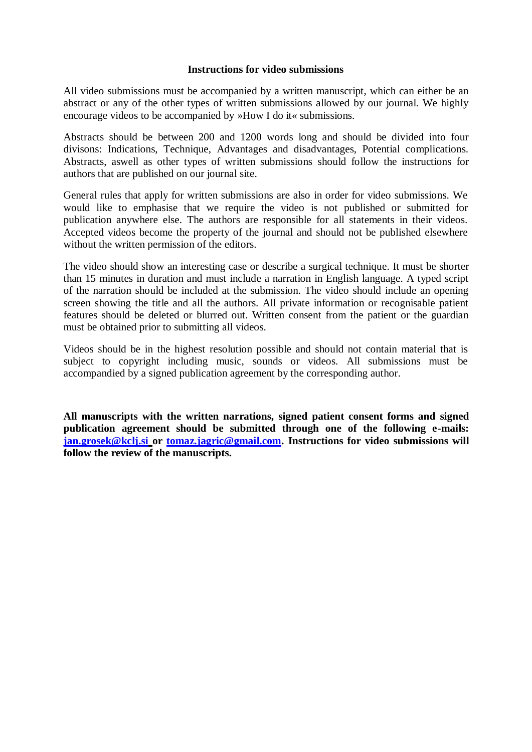## **Instructions for video submissions**

All video submissions must be accompanied by a written manuscript, which can either be an abstract or any of the other types of written submissions allowed by our journal. We highly encourage videos to be accompanied by »How I do it« submissions.

Abstracts should be between 200 and 1200 words long and should be divided into four divisons: Indications, Technique, Advantages and disadvantages, Potential complications. Abstracts, aswell as other types of written submissions should follow the instructions for authors that are published on our journal site.

General rules that apply for written submissions are also in order for video submissions. We would like to emphasise that we require the video is not published or submitted for publication anywhere else. The authors are responsible for all statements in their videos. Accepted videos become the property of the journal and should not be published elsewhere without the written permission of the editors.

The video should show an interesting case or describe a surgical technique. It must be shorter than 15 minutes in duration and must include a narration in English language. A typed script of the narration should be included at the submission. The video should include an opening screen showing the title and all the authors. All private information or recognisable patient features should be deleted or blurred out. Written consent from the patient or the guardian must be obtained prior to submitting all videos.

Videos should be in the highest resolution possible and should not contain material that is subject to copyright including music, sounds or videos. All submissions must be accompandied by a signed publication agreement by the corresponding author.

**All manuscripts with the written narrations, signed patient consent forms and signed publication agreement should be submitted through one of the following e-mails: [jan.grosek@kclj.si](mailto:jan.grosek@kclj.si) or tomaz.jagric@gmail.com. Instructions for video submissions will follow the review of the manuscripts.**